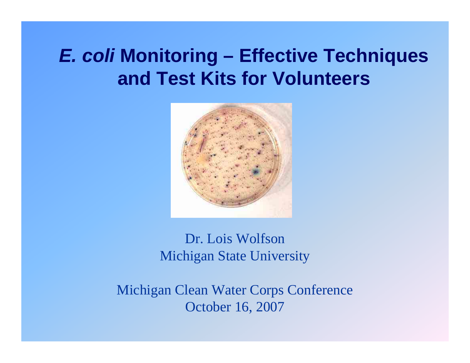# *E. coli* **Monitoring – Effective Techniques and Test Kits for Volunteers**



Dr. Lois WolfsonMichigan State University

Michigan Clean Water Corps Conference October 16, 2007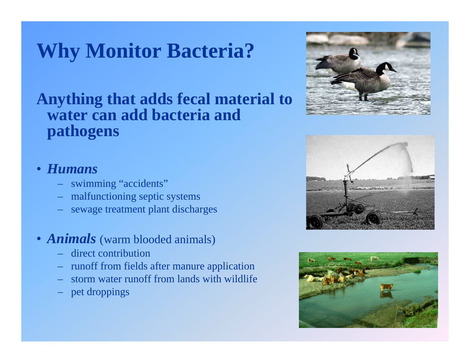# **Why Monitor Bacteria?**

### **Anything that adds fecal material to water can add bacteria and pathogens**

#### • *Humans*

- swimming "accidents"
- malfunctioning septic systems
- sewage treatment plant discharges

#### • *Animals* (warm blooded animals)

- direct contribution
- runoff from fields after manure application
- storm water runoff from lands with wildlife
- pet droppings





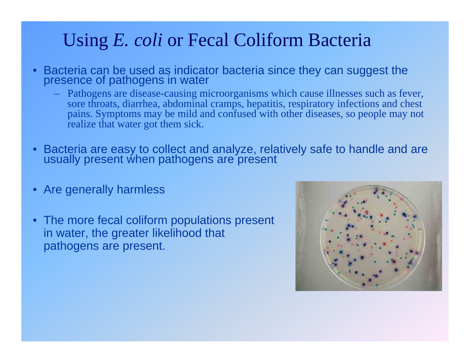## Using *E. coli* or Fecal Coliform Bacteria

- • Bacteria can be used as indicator bacteria since they can suggest the presence of pathogens in water
	- Pathogens are disease-causing microorganisms which cause illnesses such as fever, sore throats, diarrhea, abdominal cramps, hepatitis, respiratory infections and chest pains. Symptoms may be mild and confused with other diseases, so people may not realize that water got them sick.
- $\bullet$ Bacteria are easy to collect and analyze, relatively safe to handle and are usually present when pathogens are present
- Are generally harmless
- The more fecal coliform populations present in water, the greater likelihood that pathogens are present.

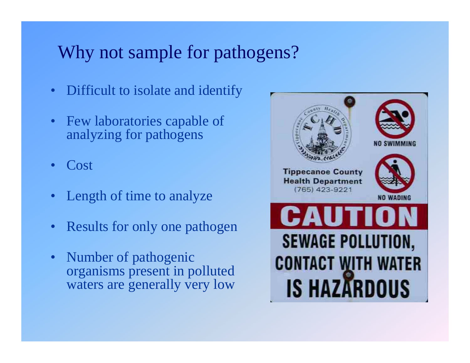### Why not sample for pathogens?

- $\bullet$ Difficult to isolate and identify
- $\bullet$  Few laboratories capable of analyzing for pathogens
- •Cost
- •Length of time to analyze
- •Results for only one pathogen
- $\bullet$  Number of pathogenic organisms present in polluted waters are generally very low

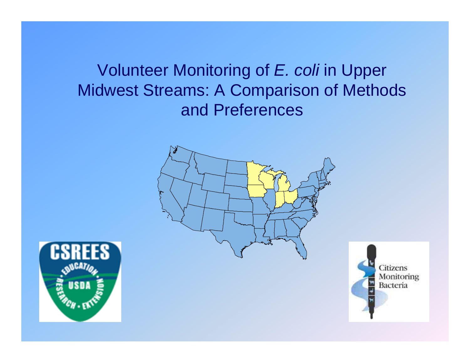Volunteer Monitoring of *E. coli* in Upper Midwest Streams: A Comparison of Methods and Preferences





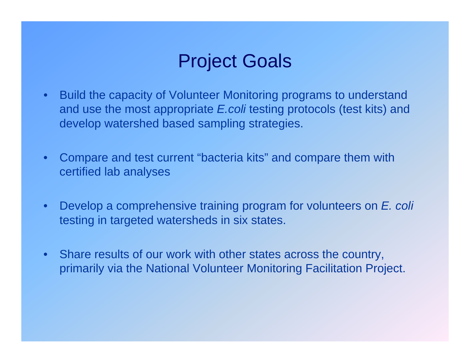## Project Goals

- Build the capacity of Volunteer Monitoring programs to understand and use the most appropriate *E.coli* testing protocols (test kits) and develop watershed based sampling strategies.
- Compare and test current "bacteria kits" and compare them with certified lab analyses
- • Develop a comprehensive training program for volunteers on *E. coli* testing in targeted watersheds in six states.
- Share results of our work with other states across the country, primarily via the National Volunteer Monitoring Facilitation Project.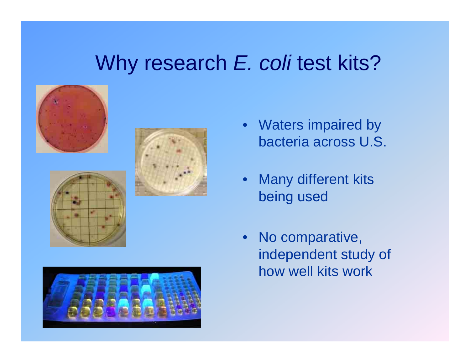# Why research *E. coli* test kits?









- Waters impaired by bacteria across U.S.
- $\bullet$  Many different kits being used
- $\bullet$  No comparative, independent study of how well kits work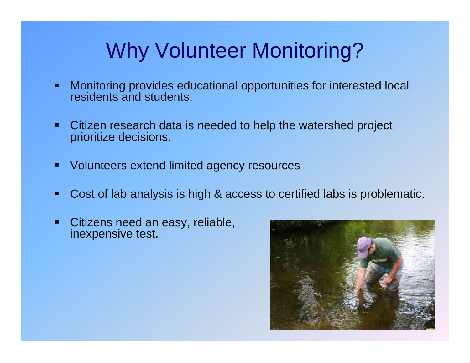# Why Volunteer Monitoring?

- $\blacksquare$  Monitoring provides educational opportunities for interested local residents and students.
- $\blacksquare$  Citizen research data is needed to help the watershed project prioritize decisions.
- $\blacksquare$ Volunteers extend limited agency resources
- Г Cost of lab analysis is high & access to certified labs is problematic.
- Г Citizens need an easy, reliable, inexpensive test.

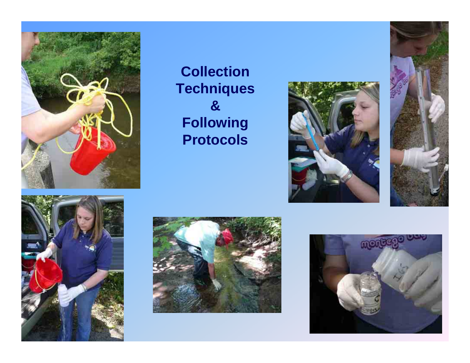

### **Collection Techniques & Following Protocols**









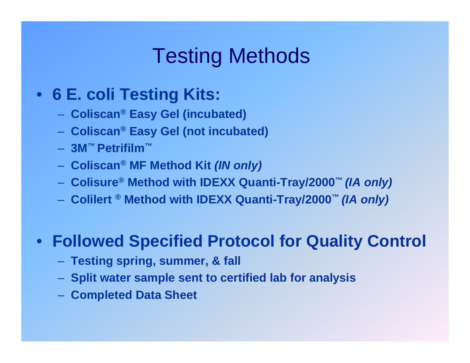# Testing Methods

### • **6 E. coli Testing Kits:**

- **Coliscan® Easy Gel (incubated)**
- **Coliscan® Easy Gel (not incubated)**
- **3M™ Petrifilm™**
- **Coliscan® MF Method Kit** *(IN only)*
- **Colisure® Method with IDEXX Quanti-Tray/2000™** *(IA only)*
- **Colilert ® Method with IDEXX Quanti-Tray/2000™** *(IA only)*

### • **Followed Specified Protocol for Quality Control**

- **Testing spring, summer, & fall**
- **Split water sample sent to certified lab for analysis**
- **Completed Data Sheet**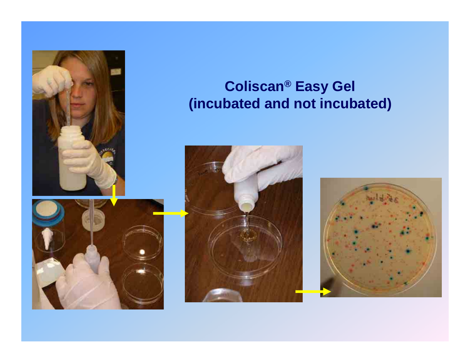





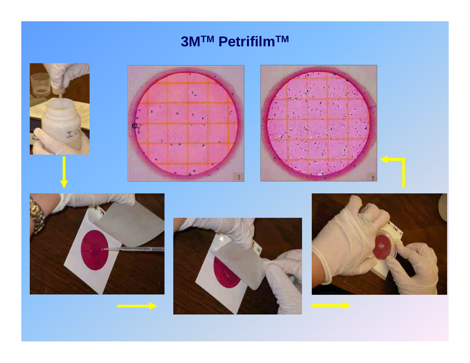### **3MTM PetrifilmTM**











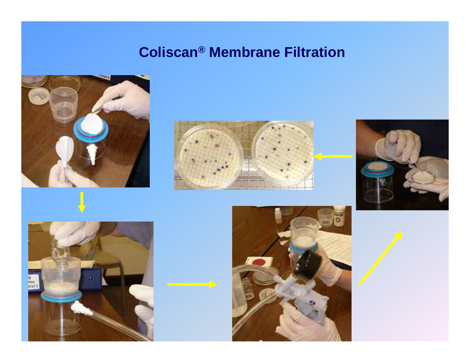### **Coliscan® Membrane Filtration**











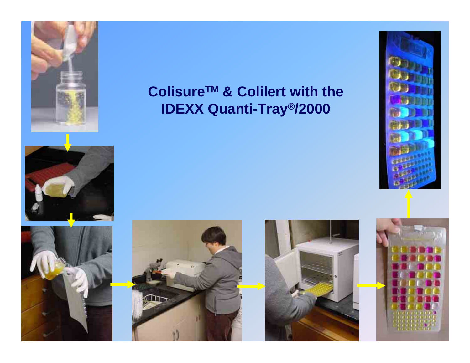



### **ColisureTM & Colilert with the IDEXX Quanti-Tray®/2000**







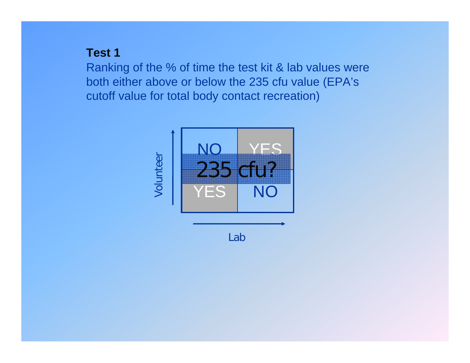#### **Test 1**

Ranking of the % of time the test kit & lab values were both either above or below the 235 cfu value (EPA's cutoff value for total body contact recreation)



Lab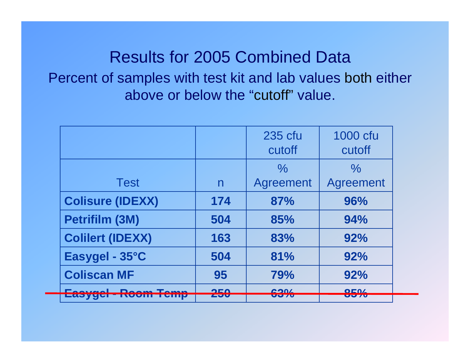### Results for 2005 Combined Data Percent of samples with test kit and lab values both either above or below the "cutoff" value.

|                         |            | 235 cfu<br>cutoff     | 1000 cfu<br>cutoff   |
|-------------------------|------------|-----------------------|----------------------|
|                         |            | $\%$                  | $\%$                 |
| <b>Test</b>             | n          | Agreement             | <b>Agreement</b>     |
| <b>Colisure (IDEXX)</b> | 174        | 87%                   | 96%                  |
| Petrifilm (3M)          | 504        | 85%                   | 94%                  |
| <b>Colilert (IDEXX)</b> | 163        | 83%                   | 92%                  |
| Easygel - 35°C          | 504        | 81%                   | 92%                  |
| <b>Coliscan MF</b>      | 95         | 79%                   | 92%                  |
| <b>Deciments</b>        | OEN<br>LJU | 0.001<br><u>vu vu</u> | OE0/<br><b>UU 70</b> |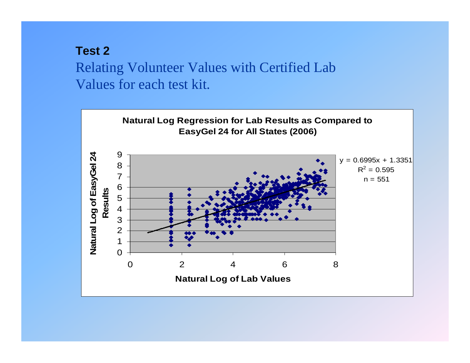### **Test 2**Relating Volunteer Values with Certified Lab Values for each test kit.

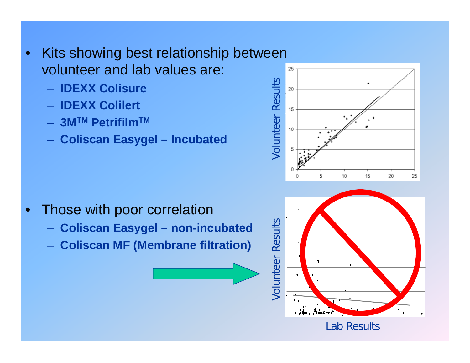- $\bullet$  Kits showing best relationship between volunteer and lab values are:
	- **IDEXX Colisure**
	- **IDEXX Colilert**
	- **3MTM PetrifilmTM**
	- **Coliscan Easygel – Incubated**



- **Coliscan Easygel – non-incubated**
- **Coliscan MF (Membrane filtration)**



Lab Results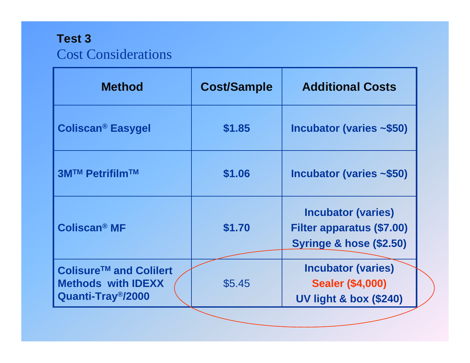### **Test 3** Cost Considerations

| <b>Method</b>                                                                         | <b>Cost/Sample</b> | <b>Additional Costs</b>                                                                             |
|---------------------------------------------------------------------------------------|--------------------|-----------------------------------------------------------------------------------------------------|
| <b>Coliscan<sup>®</sup> Easygel</b>                                                   | \$1.85             | Incubator (varies $\sim$ \$50)                                                                      |
| 3M™ Petrifilm™                                                                        | \$1.06             | Incubator (varies ~\$50)                                                                            |
| Coliscan <sup>®</sup> MF                                                              | \$1.70             | <b>Incubator (varies)</b><br><b>Filter apparatus (\$7.00)</b><br><b>Syringe &amp; hose (\$2.50)</b> |
| Colisure™ and Colilert<br><b>Methods with IDEXX</b><br>Quanti-Tray <sup>®</sup> /2000 | \$5.45             | <b>Incubator (varies)</b><br><b>Sealer (\$4,000)</b><br><b>UV light &amp; box (\$240)</b>           |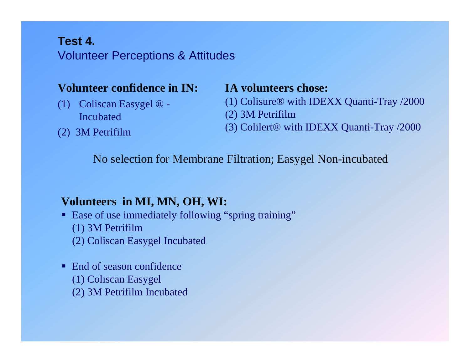#### **Test 4.**Volunteer Perceptions & Attitudes

#### **Volunteer confidence in IN:**

- (1) Coliscan Easygel ® Incubated
- (2) 3M Petrifilm

#### **IA volunteers chose:**

- (1) Colisure® with IDEXX Quanti-Tray /2000
- (2) 3M Petrifilm
- (3) Colilert® with IDEXX Quanti-Tray /2000

No selection for Membrane Filtration; Easygel Non-incubated

#### **Volunteers in MI, MN, OH, WI:**

- Ease of use immediately following "spring training"
	- (1) 3M Petrifilm
	- (2) Coliscan Easygel Incubated
- End of season confidence (1) Coliscan Easygel
	- (2) 3M Petrifilm Incubated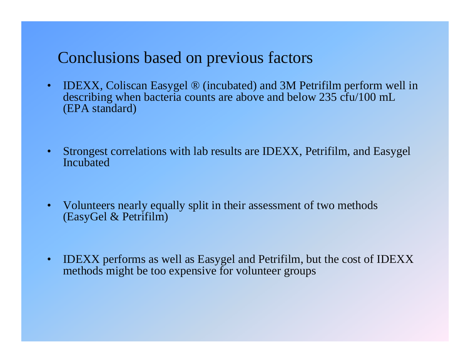### Conclusions based on previous factors

- IDEXX, Coliscan Easygel ® (incubated) and 3M Petrifilm perform well in describing when bacteria counts are above and below 235 cfu/100 mL (EPA standard)
- $\bullet$  Strongest correlations with lab results are IDEXX, Petrifilm, and Easygel Incubated
- $\bullet$  Volunteers nearly equally split in their assessment of two methods (EasyGel & Petrifilm)
- $\bullet$  IDEXX performs as well as Easygel and Petrifilm, but the cost of IDEXX methods might be too expensive for volunteer groups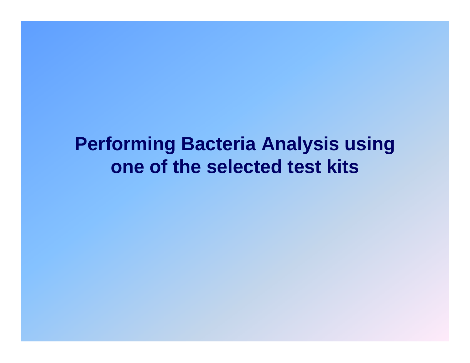# **Performing Bacteria Analysis using one of the selected test kits**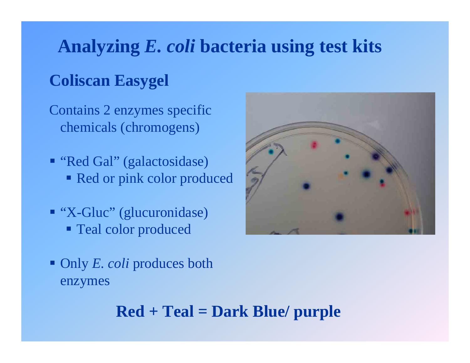## **Analyzing** *E. coli* **bacteria using test kits**

### **Coliscan Easygel**

Contains 2 enzymes specific chemicals (chromogens)

- "Red Gal" (galactosidase) Red or pink color produced
- "X-Gluc" (glucuronidase) Teal color produced
- Only *E. coli* produces both enzymes

### **Red + Teal = Dark Blue/ purple**

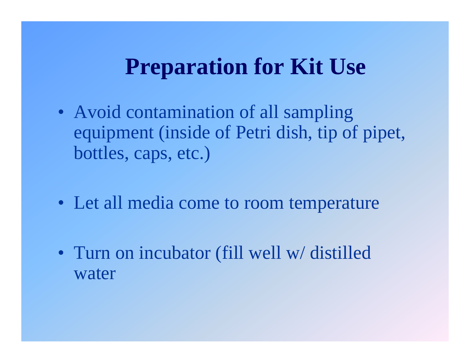# **Preparation for Kit Use**

- Avoid contamination of all sampling equipment (inside of Petri dish, tip of pipet, bottles, caps, etc.)
- Let all media come to room temperature
- Turn on incubator (fill well w/distilled water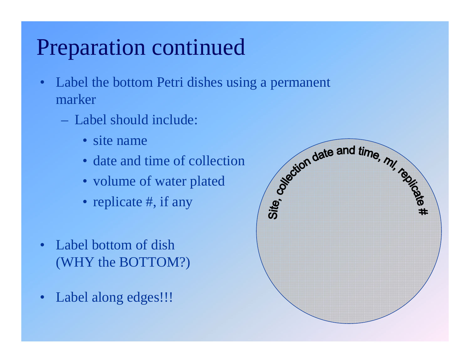# Preparation continued

- • Label the bottom Petri dishes using a permanent marker
	- Label should include:
		- site name
		- date and time of collection
		- volume of water plated
		- replicate #, if any
- Label bottom of dish (WHY the BOTTOM?)
- •Label along edges!!!

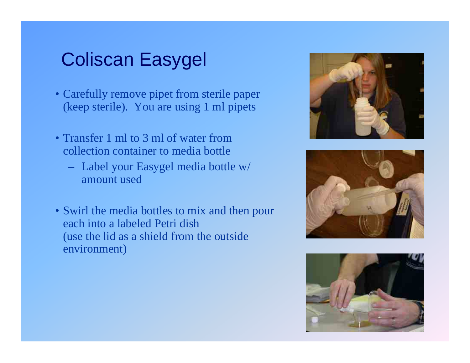## Coliscan Easygel

- Carefully remove pipet from sterile paper (keep sterile). You are using 1 ml pipets
- Transfer 1 ml to 3 ml of water from collection container to media bottle
	- Label your Easygel media bottle w/ amount used
- Swirl the media bottles to mix and then pour each into a labeled Petri dish(use the lid as a shield from the outside environment)





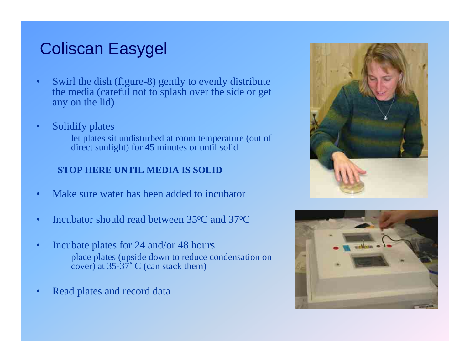### Coliscan Easygel

- • Swirl the dish (figure-8) gently to evenly distribute the media (careful not to splash over the side or get any on the lid)
- • Solidify plates
	- let plates sit undisturbed at room temperature (out of direct sunlight) for 45 minutes or until solid

#### **STOP HERE UNTIL MEDIA IS SOLID**

- •Make sure water has been added to incubator
- •Incubator should read between 35°C and 37°C
- • Incubate plates for 24 and/or 48 hours
	- place plates (upside down to reduce condensation on cover) at  $35-\frac{37}{6}$ ° C (can stack them)
- •Read plates and record data



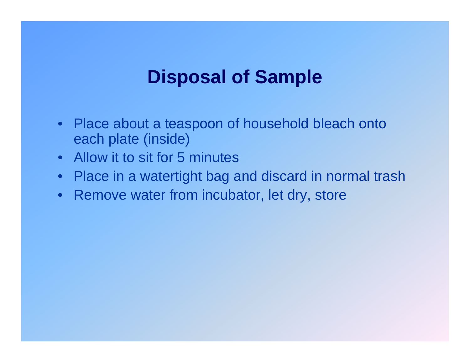## **Disposal of Sample**

- Place about a teaspoon of household bleach onto each plate (inside)
- Allow it to sit for 5 minutes
- Place in a watertight bag and discard in normal trash
- Remove water from incubator, let dry, store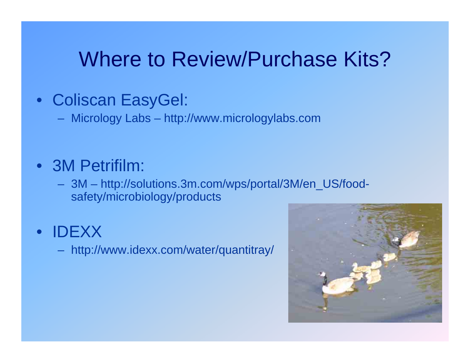# Where to Review/Purchase Kits?

### • Coliscan EasyGel:

Micrology Labs – http://www.micrologylabs.com

### • 3M Petrifilm:

 3M – http://solutions.3m.com/wps/portal/3M/en\_US/foodsafety/microbiology/products

#### •IDEXX

http://www.idexx.com/water/quantitray/